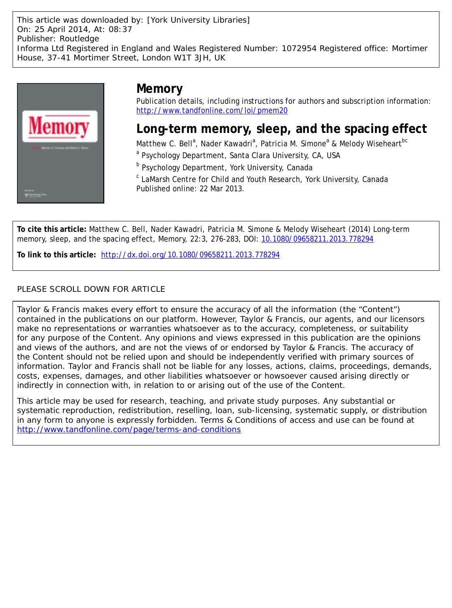This article was downloaded by: [York University Libraries] On: 25 April 2014, At: 08:37 Publisher: Routledge Informa Ltd Registered in England and Wales Registered Number: 1072954 Registered office: Mortimer House, 37-41 Mortimer Street, London W1T 3JH, UK



## **Memory**

Publication details, including instructions for authors and subscription information: <http://www.tandfonline.com/loi/pmem20>

# **Long-term memory, sleep, and the spacing effect**

Matthew C. Bell<sup>a</sup>, Nader Kawadri<sup>a</sup>, Patricia M. Simone<sup>a</sup> & Melody Wiseheart<sup>bc</sup>

- <sup>a</sup> Psychology Department, Santa Clara University, CA, USA
- <sup>b</sup> Psychology Department, York University, Canada
- <sup>c</sup> LaMarsh Centre for Child and Youth Research, York University, Canada Published online: 22 Mar 2013.

**To cite this article:** Matthew C. Bell, Nader Kawadri, Patricia M. Simone & Melody Wiseheart (2014) Long-term memory, sleep, and the spacing effect, Memory, 22:3, 276-283, DOI: [10.1080/09658211.2013.778294](http://www.tandfonline.com/action/showCitFormats?doi=10.1080/09658211.2013.778294)

**To link to this article:** <http://dx.doi.org/10.1080/09658211.2013.778294>

### PLEASE SCROLL DOWN FOR ARTICLE

Taylor & Francis makes every effort to ensure the accuracy of all the information (the "Content") contained in the publications on our platform. However, Taylor & Francis, our agents, and our licensors make no representations or warranties whatsoever as to the accuracy, completeness, or suitability for any purpose of the Content. Any opinions and views expressed in this publication are the opinions and views of the authors, and are not the views of or endorsed by Taylor & Francis. The accuracy of the Content should not be relied upon and should be independently verified with primary sources of information. Taylor and Francis shall not be liable for any losses, actions, claims, proceedings, demands, costs, expenses, damages, and other liabilities whatsoever or howsoever caused arising directly or indirectly in connection with, in relation to or arising out of the use of the Content.

This article may be used for research, teaching, and private study purposes. Any substantial or systematic reproduction, redistribution, reselling, loan, sub-licensing, systematic supply, or distribution in any form to anyone is expressly forbidden. Terms & Conditions of access and use can be found at <http://www.tandfonline.com/page/terms-and-conditions>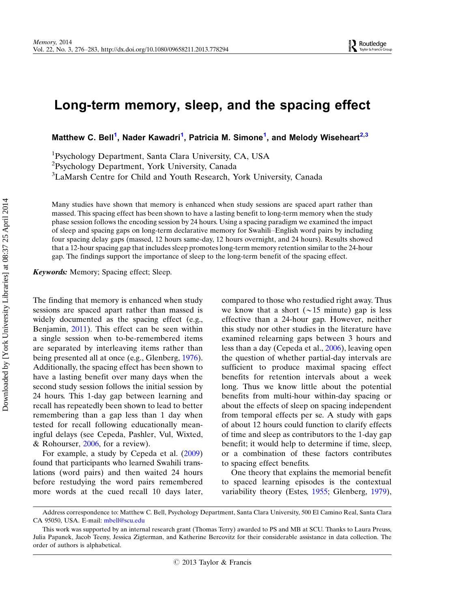## Long-term memory, sleep, and the spacing effect

Matthew C. Bell<sup>1</sup>, Nader Kawadri<sup>1</sup>, Patricia M. Simone<sup>1</sup>, and Melody Wiseheart<sup>2,3</sup>

<sup>1</sup>Psychology Department, Santa Clara University, CA, USA

<sup>2</sup>Psychology Department, York University, Canada

<sup>3</sup>LaMarsh Centre for Child and Youth Research, York University, Canada

Many studies have shown that memory is enhanced when study sessions are spaced apart rather than massed. This spacing effect has been shown to have a lasting benefit to long-term memory when the study phase session follows the encoding session by 24 hours. Using a spacing paradigm we examined the impact of sleep and spacing gaps on long-term declarative memory for Swahili-English word pairs by including four spacing delay gaps (massed, 12 hours same-day, 12 hours overnight, and 24 hours). Results showed that a 12-hour spacing gap that includes sleep promotes long-term memory retention similar to the 24-hour gap. The findings support the importance of sleep to the long-term benefit of the spacing effect.

Keywords: Memory; Spacing effect; Sleep.

The finding that memory is enhanced when study sessions are spaced apart rather than massed is widely documented as the spacing effect (e.g., Benjamin, [2011](#page-7-0)). This effect can be seen within a single session when to-be-remembered items are separated by interleaving items rather than being presented all at once (e.g., Glenberg, [1976\)](#page-7-0). Additionally, the spacing effect has been shown to have a lasting benefit over many days when the second study session follows the initial session by 24 hours. This 1-day gap between learning and recall has repeatedly been shown to lead to better remembering than a gap less than 1 day when tested for recall following educationally meaningful delays (see Cepeda, Pashler, Vul, Wixted, & Rohourser, [2006](#page-7-0), for a review).

For example, a study by Cepeda et al. [\(2009](#page-7-0)) found that participants who learned Swahili translations (word pairs) and then waited 24 hours before restudying the word pairs remembered more words at the cued recall 10 days later, compared to those who restudied right away. Thus we know that a short  $(\sim 15 \text{ minute})$  gap is less effective than a 24-hour gap. However, neither this study nor other studies in the literature have examined relearning gaps between 3 hours and less than a day (Cepeda et al., [2006](#page-7-0)), leaving open the question of whether partial-day intervals are sufficient to produce maximal spacing effect benefits for retention intervals about a week long. Thus we know little about the potential benefits from multi-hour within-day spacing or about the effects of sleep on spacing independent from temporal effects per se. A study with gaps of about 12 hours could function to clarify effects of time and sleep as contributors to the 1-day gap benefit; it would help to determine if time, sleep, or a combination of these factors contributes to spacing effect benefits.

One theory that explains the memorial benefit to spaced learning episodes is the contextual variability theory (Estes, [1955](#page-7-0); Glenberg, [1979\)](#page-7-0),

Address correspondence to: Matthew C. Bell, Psychology Department, Santa Clara University, 500 El Camino Real, Santa Clara CA 95050, USA. E-mail: [mbell@scu.edu](mailto:mbell@scu.edu)

This work was supported by an internal research grant (Thomas Terry) awarded to PS and MB at SCU. Thanks to Laura Preuss, Julia Papanek, Jacob Teeny, Jessica Zigterman, and Katherine Bercovitz for their considerable assistance in data collection. The order of authors is alphabetical.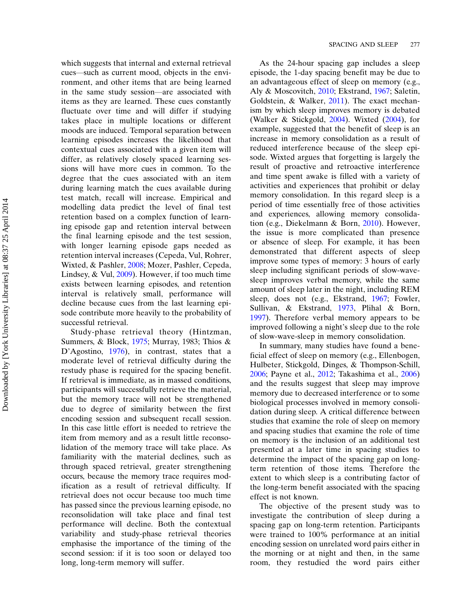which suggests that internal and external retrieval cues—such as current mood, objects in the environment, and other items that are being learned in the same study session—are associated with items as they are learned. These cues constantly fluctuate over time and will differ if studying takes place in multiple locations or different moods are induced. Temporal separation between learning episodes increases the likelihood that contextual cues associated with a given item will differ, as relatively closely spaced learning sessions will have more cues in common. To the degree that the cues associated with an item during learning match the cues available during test match, recall will increase. Empirical and modelling data predict the level of final test retention based on a complex function of learning episode gap and retention interval between the final learning episode and the test session, with longer learning episode gaps needed as retention interval increases (Cepeda, Vul, Rohrer, Wixted, & Pashler, [2008;](#page-7-0) Mozer, Pashler, Cepeda, Lindsey, & Vul, [2009\)](#page-7-0). However, if too much time exists between learning episodes, and retention interval is relatively small, performance will decline because cues from the last learning episode contribute more heavily to the probability of successful retrieval.

Study-phase retrieval theory (Hintzman, Summers, & Block, [1975;](#page-7-0) Murray, 1983; Thios & D'Agostino, [1976\)](#page-8-0), in contrast, states that a moderate level of retrieval difficulty during the restudy phase is required for the spacing benefit. If retrieval is immediate, as in massed conditions, participants will successfully retrieve the material, but the memory trace will not be strengthened due to degree of similarity between the first encoding session and subsequent recall session. In this case little effort is needed to retrieve the item from memory and as a result little reconsolidation of the memory trace will take place. As familiarity with the material declines, such as through spaced retrieval, greater strengthening occurs, because the memory trace requires modification as a result of retrieval difficulty. If retrieval does not occur because too much time has passed since the previous learning episode, no reconsolidation will take place and final test performance will decline. Both the contextual variability and study-phase retrieval theories emphasise the importance of the timing of the second session: if it is too soon or delayed too long, long-term memory will suffer.

As the 24-hour spacing gap includes a sleep episode, the 1-day spacing benefit may be due to an advantageous effect of sleep on memory (e.g., Aly & Moscovitch, [2010;](#page-7-0) Ekstrand, [1967;](#page-7-0) Saletin, Goldstein, & Walker, [2011](#page-7-0)). The exact mechanism by which sleep improves memory is debated (Walker & Stickgold, [2004](#page-8-0)). Wixted [\(2004](#page-8-0)), for example, suggested that the benefit of sleep is an increase in memory consolidation as a result of reduced interference because of the sleep episode. Wixted argues that forgetting is largely the result of proactive and retroactive interference and time spent awake is filled with a variety of activities and experiences that prohibit or delay memory consolidation. In this regard sleep is a period of time essentially free of those activities and experiences, allowing memory consolidation (e.g., Diekelmann & Born, [2010\)](#page-7-0). However, the issue is more complicated than presence or absence of sleep. For example, it has been demonstrated that different aspects of sleep improve some types of memory: 3 hours of early sleep including significant periods of slow-wavesleep improves verbal memory, while the same amount of sleep later in the night, including REM sleep, does not (e.g., Ekstrand, [1967;](#page-7-0) Fowler, Sullivan, & Ekstrand, [1973](#page-7-0), Plihal & Born, [1997\)](#page-7-0). Therefore verbal memory appears to be improved following a night's sleep due to the role of slow-wave-sleep in memory consolidation.

In summary, many studies have found a beneficial effect of sleep on memory (e.g., Ellenbogen, Hulbeter, Stickgold, Dinges, & Thompson-Schill, [2006;](#page-7-0) Payne et al., [2012](#page-7-0); Takashima et al., [2006](#page-8-0)) and the results suggest that sleep may improve memory due to decreased interference or to some biological processes involved in memory consolidation during sleep. A critical difference between studies that examine the role of sleep on memory and spacing studies that examine the role of time on memory is the inclusion of an additional test presented at a later time in spacing studies to determine the impact of the spacing gap on longterm retention of those items. Therefore the extent to which sleep is a contributing factor of the long-term benefit associated with the spacing effect is not known.

The objective of the present study was to investigate the contribution of sleep during a spacing gap on long-term retention. Participants were trained to 100% performance at an initial encoding session on unrelated word pairs either in the morning or at night and then, in the same room, they restudied the word pairs either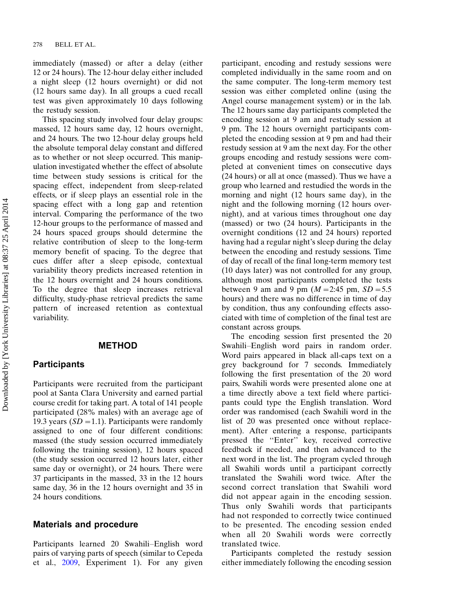immediately (massed) or after a delay (either 12 or 24 hours). The 12-hour delay either included a night sleep (12 hours overnight) or did not (12 hours same day). In all groups a cued recall test was given approximately 10 days following the restudy session.

This spacing study involved four delay groups: massed, 12 hours same day, 12 hours overnight, and 24 hours. The two 12-hour delay groups held the absolute temporal delay constant and differed as to whether or not sleep occurred. This manipulation investigated whether the effect of absolute time between study sessions is critical for the spacing effect, independent from sleep-related effects, or if sleep plays an essential role in the spacing effect with a long gap and retention interval. Comparing the performance of the two 12-hour groups to the performance of massed and 24 hours spaced groups should determine the relative contribution of sleep to the long-term memory benefit of spacing. To the degree that cues differ after a sleep episode, contextual variability theory predicts increased retention in the 12 hours overnight and 24 hours conditions. To the degree that sleep increases retrieval difficulty, study-phase retrieval predicts the same pattern of increased retention as contextual variability.

#### METHOD

#### **Participants**

Participants were recruited from the participant pool at Santa Clara University and earned partial course credit for taking part. A total of 141 people participated (28% males) with an average age of 19.3 years ( $SD = 1.1$ ). Participants were randomly assigned to one of four different conditions: massed (the study session occurred immediately following the training session), 12 hours spaced (the study session occurred 12 hours later, either same day or overnight), or 24 hours. There were 37 participants in the massed, 33 in the 12 hours same day, 36 in the 12 hours overnight and 35 in 24 hours conditions.

#### Materials and procedure

Participants learned 20 Swahili-English word pairs of varying parts of speech (similar to Cepeda et al., [2009,](#page-7-0) Experiment 1). For any given participant, encoding and restudy sessions were completed individually in the same room and on the same computer. The long-term memory test session was either completed online (using the Angel course management system) or in the lab. The 12 hours same day participants completed the encoding session at 9 am and restudy session at 9 pm. The 12 hours overnight participants completed the encoding session at 9 pm and had their restudy session at 9 am the next day. For the other groups encoding and restudy sessions were completed at convenient times on consecutive days (24 hours) or all at once (massed). Thus we have a group who learned and restudied the words in the morning and night (12 hours same day), in the night and the following morning (12 hours overnight), and at various times throughout one day (massed) or two (24 hours). Participants in the overnight conditions (12 and 24 hours) reported having had a regular night's sleep during the delay between the encoding and restudy sessions. Time of day of recall of the final long-term memory test (10 days later) was not controlled for any group, although most participants completed the tests between 9 am and 9 pm  $(M=2:45 \text{ pm}, SD=5.5$ hours) and there was no difference in time of day by condition, thus any confounding effects associated with time of completion of the final test are constant across groups.

The encoding session first presented the 20 Swahili-English word pairs in random order. Word pairs appeared in black all-caps text on a grey background for 7 seconds. Immediately following the first presentation of the 20 word pairs, Swahili words were presented alone one at a time directly above a text field where participants could type the English translation. Word order was randomised (each Swahili word in the list of 20 was presented once without replacement). After entering a response, participants pressed the ''Enter'' key, received corrective feedback if needed, and then advanced to the next word in the list. The program cycled through all Swahili words until a participant correctly translated the Swahili word twice. After the second correct translation that Swahili word did not appear again in the encoding session. Thus only Swahili words that participants had not responded to correctly twice continued to be presented. The encoding session ended when all 20 Swahili words were correctly translated twice.

Participants completed the restudy session either immediately following the encoding session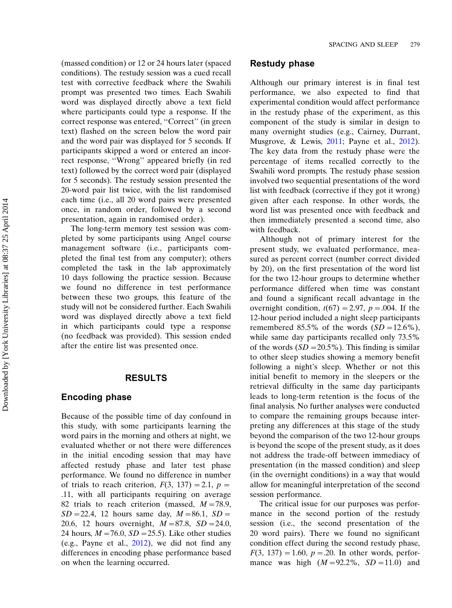(massed condition) or 12 or 24 hours later (spaced conditions). The restudy session was a cued recall test with corrective feedback where the Swahili prompt was presented two times. Each Swahili word was displayed directly above a text field where participants could type a response. If the correct response was entered, ''Correct'' (in green text) flashed on the screen below the word pair and the word pair was displayed for 5 seconds. If participants skipped a word or entered an incorrect response, ''Wrong'' appeared briefly (in red text) followed by the correct word pair (displayed for 5 seconds). The restudy session presented the 20-word pair list twice, with the list randomised each time (i.e., all 20 word pairs were presented once, in random order, followed by a second presentation, again in randomised order).

The long-term memory test session was completed by some participants using Angel course management software (i.e., participants completed the final test from any computer); others completed the task in the lab approximately 10 days following the practice session. Because we found no difference in test performance between these two groups, this feature of the study will not be considered further. Each Swahili word was displayed directly above a text field in which participants could type a response (no feedback was provided). This session ended after the entire list was presented once.

#### RESULTS

#### Encoding phase

Because of the possible time of day confound in this study, with some participants learning the word pairs in the morning and others at night, we evaluated whether or not there were differences in the initial encoding session that may have affected restudy phase and later test phase performance. We found no difference in number of trials to reach criterion,  $F(3, 137) = 2.1$ ,  $p =$ .11, with all participants requiring on average 82 trials to reach criterion (massed,  $M=78.9$ ,  $SD = 22.4$ , 12 hours same day,  $M = 86.1$ ,  $SD =$ 20.6, 12 hours overnight,  $M = 87.8$ ,  $SD = 24.0$ , 24 hours,  $M = 76.0$ ,  $SD = 25.5$ ). Like other studies (e.g., Payne et al., [2012](#page-7-0)), we did not find any differences in encoding phase performance based on when the learning occurred.

#### Restudy phase

Although our primary interest is in final test performance, we also expected to find that experimental condition would affect performance in the restudy phase of the experiment, as this component of the study is similar in design to many overnight studies (e.g., Cairney, Durrant, Musgrove, & Lewis, [2011;](#page-7-0) Payne et al., [2012\)](#page-7-0). The key data from the restudy phase were the percentage of items recalled correctly to the Swahili word prompts. The restudy phase session involved two sequential presentations of the word list with feedback (corrective if they got it wrong) given after each response. In other words, the word list was presented once with feedback and then immediately presented a second time, also with feedback.

Although not of primary interest for the present study, we evaluated performance, measured as percent correct (number correct divided by 20), on the first presentation of the word list for the two 12-hour groups to determine whether performance differed when time was constant and found a significant recall advantage in the overnight condition,  $t(67) = 2.97$ ,  $p = 0.004$ . If the 12-hour period included a night sleep participants remembered 85.5% of the words  $(SD=12.6\%)$ , while same day participants recalled only 73.5% of the words  $(SD=20.5\%)$ . This finding is similar to other sleep studies showing a memory benefit following a night's sleep. Whether or not this initial benefit to memory in the sleepers or the retrieval difficulty in the same day participants leads to long-term retention is the focus of the final analysis. No further analyses were conducted to compare the remaining groups because interpreting any differences at this stage of the study beyond the comparison of the two 12-hour groups is beyond the scope of the present study, as it does not address the trade-off between immediacy of presentation (in the massed condition) and sleep (in the overnight conditions) in a way that would allow for meaningful interpretation of the second session performance.

The critical issue for our purposes was performance in the second portion of the restudy session (i.e., the second presentation of the 20 word pairs). There we found no significant condition effect during the second restudy phase,  $F(3, 137) = 1.60, p = 0.20$ . In other words, performance was high  $(M=92.2\% , SD=11.0)$  and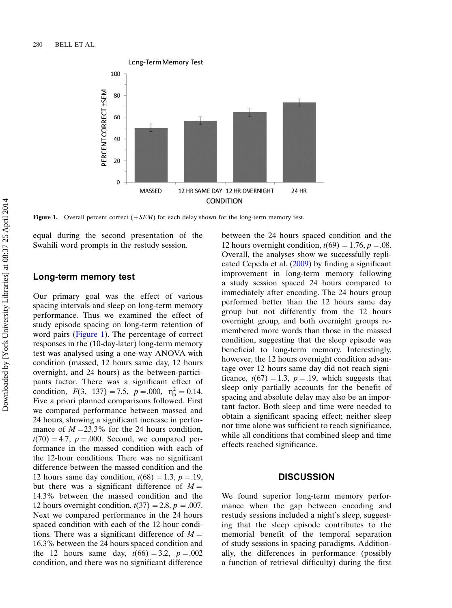

Figure 1. Overall percent correct  $(\pm SEM)$  for each delay shown for the long-term memory test.

equal during the second presentation of the Swahili word prompts in the restudy session.

#### Long-term memory test

Our primary goal was the effect of various spacing intervals and sleep on long-term memory performance. Thus we examined the effect of study episode spacing on long-term retention of word pairs (Figure 1). The percentage of correct responses in the (10-day-later) long-term memory test was analysed using a one-way ANOVA with condition (massed, 12 hours same day, 12 hours overnight, and 24 hours) as the between-participants factor. There was a significant effect of condition,  $F(3, 137) = 7.5$ ,  $p = .000$ ,  $\eta_p^2 = 0.14$ . Five a priori planned comparisons followed. First we compared performance between massed and 24 hours, showing a significant increase in performance of  $M=23.3\%$  for the 24 hours condition,  $t(70) = 4.7$ ,  $p = 0.000$ . Second, we compared performance in the massed condition with each of the 12-hour conditions. There was no significant difference between the massed condition and the 12 hours same day condition,  $t(68) = 1.3$ ,  $p = .19$ , but there was a significant difference of  $M =$ 14.3% between the massed condition and the 12 hours overnight condition,  $t(37) = 2.8$ ,  $p = .007$ . Next we compared performance in the 24 hours spaced condition with each of the 12-hour conditions. There was a significant difference of  $M =$ 16.3% between the 24 hours spaced condition and the 12 hours same day,  $t(66) = 3.2$ ,  $p = .002$ condition, and there was no significant difference

between the 24 hours spaced condition and the 12 hours overnight condition,  $t(69) = 1.76$ ,  $p = 0.08$ . Overall, the analyses show we successfully replicated Cepeda et al. ([2009\)](#page-7-0) by finding a significant improvement in long-term memory following a study session spaced 24 hours compared to immediately after encoding. The 24 hours group performed better than the 12 hours same day group but not differently from the 12 hours overnight group, and both overnight groups remembered more words than those in the massed condition, suggesting that the sleep episode was beneficial to long-term memory. Interestingly, however, the 12 hours overnight condition advantage over 12 hours same day did not reach significance,  $t(67) = 1.3$ ,  $p = .19$ , which suggests that sleep only partially accounts for the benefit of spacing and absolute delay may also be an important factor. Both sleep and time were needed to obtain a significant spacing effect; neither sleep nor time alone was sufficient to reach significance, while all conditions that combined sleep and time effects reached significance.

#### **DISCUSSION**

We found superior long-term memory performance when the gap between encoding and restudy sessions included a night's sleep, suggesting that the sleep episode contributes to the memorial benefit of the temporal separation of study sessions in spacing paradigms. Additionally, the differences in performance (possibly a function of retrieval difficulty) during the first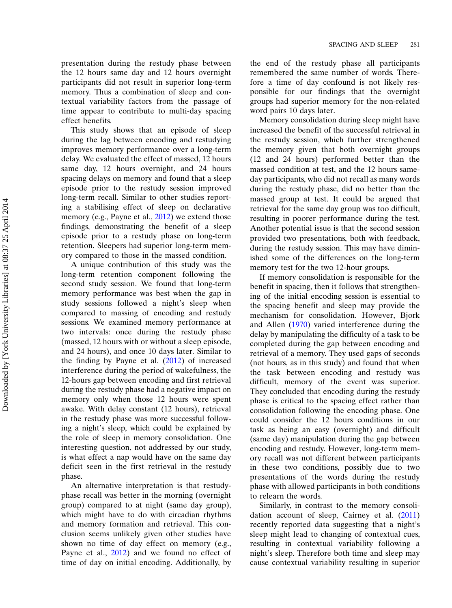presentation during the restudy phase between the 12 hours same day and 12 hours overnight participants did not result in superior long-term memory. Thus a combination of sleep and contextual variability factors from the passage of time appear to contribute to multi-day spacing effect benefits.

This study shows that an episode of sleep during the lag between encoding and restudying improves memory performance over a long-term delay. We evaluated the effect of massed, 12 hours same day, 12 hours overnight, and 24 hours spacing delays on memory and found that a sleep episode prior to the restudy session improved long-term recall. Similar to other studies reporting a stabilising effect of sleep on declarative memory (e.g., Payne et al., [2012\)](#page-7-0) we extend those findings, demonstrating the benefit of a sleep episode prior to a restudy phase on long-term retention. Sleepers had superior long-term memory compared to those in the massed condition.

A unique contribution of this study was the long-term retention component following the second study session. We found that long-term memory performance was best when the gap in study sessions followed a night's sleep when compared to massing of encoding and restudy sessions. We examined memory performance at two intervals: once during the restudy phase (massed, 12 hours with or without a sleep episode, and 24 hours), and once 10 days later. Similar to the finding by Payne et al. ([2012\)](#page-7-0) of increased interference during the period of wakefulness, the 12-hours gap between encoding and first retrieval during the restudy phase had a negative impact on memory only when those 12 hours were spent awake. With delay constant (12 hours), retrieval in the restudy phase was more successful following a night's sleep, which could be explained by the role of sleep in memory consolidation. One interesting question, not addressed by our study, is what effect a nap would have on the same day deficit seen in the first retrieval in the restudy phase.

An alternative interpretation is that restudyphase recall was better in the morning (overnight group) compared to at night (same day group), which might have to do with circadian rhythms and memory formation and retrieval. This conclusion seems unlikely given other studies have shown no time of day effect on memory (e.g., Payne et al., [2012\)](#page-7-0) and we found no effect of time of day on initial encoding. Additionally, by

the end of the restudy phase all participants remembered the same number of words. Therefore a time of day confound is not likely responsible for our findings that the overnight groups had superior memory for the non-related word pairs 10 days later.

Memory consolidation during sleep might have increased the benefit of the successful retrieval in the restudy session, which further strengthened the memory given that both overnight groups (12 and 24 hours) performed better than the massed condition at test, and the 12 hours sameday participants, who did not recall as many words during the restudy phase, did no better than the massed group at test. It could be argued that retrieval for the same day group was too difficult, resulting in poorer performance during the test. Another potential issue is that the second session provided two presentations, both with feedback, during the restudy session. This may have diminished some of the differences on the long-term memory test for the two 12-hour groups.

If memory consolidation is responsible for the benefit in spacing, then it follows that strengthening of the initial encoding session is essential to the spacing benefit and sleep may provide the mechanism for consolidation. However, Bjork and Allen ([1970](#page-7-0)) varied interference during the delay by manipulating the difficulty of a task to be completed during the gap between encoding and retrieval of a memory. They used gaps of seconds (not hours, as in this study) and found that when the task between encoding and restudy was difficult, memory of the event was superior. They concluded that encoding during the restudy phase is critical to the spacing effect rather than consolidation following the encoding phase. One could consider the 12 hours conditions in our task as being an easy (overnight) and difficult (same day) manipulation during the gap between encoding and restudy. However, long-term memory recall was not different between participants in these two conditions, possibly due to two presentations of the words during the restudy phase with allowed participants in both conditions to relearn the words.

Similarly, in contrast to the memory consolidation account of sleep, Cairney et al. [\(2011](#page-7-0)) recently reported data suggesting that a night's sleep might lead to changing of contextual cues, resulting in contextual variability following a night's sleep. Therefore both time and sleep may cause contextual variability resulting in superior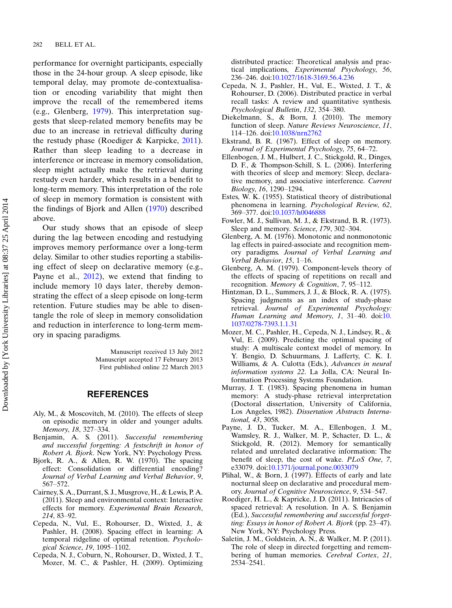<span id="page-7-0"></span>performance for overnight participants, especially those in the 24-hour group. A sleep episode, like temporal delay, may promote de-contextualisation or encoding variability that might then improve the recall of the remembered items (e.g., Glenberg, 1979). This interpretation suggests that sleep-related memory benefits may be due to an increase in retrieval difficulty during the restudy phase (Roediger & Karpicke, 2011). Rather than sleep leading to a decrease in interference or increase in memory consolidation, sleep might actually make the retrieval during restudy even harder, which results in a benefit to long-term memory. This interpretation of the role of sleep in memory formation is consistent with the findings of Bjork and Allen (1970) described above.

Our study shows that an episode of sleep during the lag between encoding and restudying improves memory performance over a long-term delay. Similar to other studies reporting a stabilising effect of sleep on declarative memory (e.g., Payne et al., 2012), we extend that finding to include memory 10 days later, thereby demonstrating the effect of a sleep episode on long-term retention. Future studies may be able to disentangle the role of sleep in memory consolidation and reduction in interference to long-term memory in spacing paradigms.

> Manuscript received 13 July 2012 Manuscript accepted 17 February 2013 First published online 22 March 2013

#### REFERENCES

- Aly, M., & Moscovitch, M. (2010). The effects of sleep on episodic memory in older and younger adults. Memory, 18, 327-334.
- Benjamin, A. S. (2011). Successful remembering and successful forgetting: A festschrift in honor of Robert A. Bjork. New York, NY: Psychology Press.
- Bjork, R. A., & Allen, R. W. (1970). The spacing effect: Consolidation or differential encoding? Journal of Verbal Learning and Verbal Behavior, 9, 567-572.
- Cairney, S. A., Durrant, S. J., Musgrove, H., & Lewis, P. A. (2011). Sleep and environmental context: Interactive effects for memory. Experimental Brain Research, 214, 83-92.
- Cepeda, N., Vul, E., Rohourser, D., Wixted, J., & Pashler, H. (2008). Spacing effect in learning: A temporal ridgeline of optimal retention. Psychological Science, 19, 1095-1102.
- Cepeda, N. J., Coburn, N., Rohourser, D., Wixted, J. T., Mozer, M. C., & Pashler, H. (2009). Optimizing

distributed practice: Theoretical analysis and practical implications, Experimental Psychology, 56, 236-246. doi:[10.1027/1618-3169.56.4.236](http://dx.doi.org/10.1027/1618-3169.56.4.236)

- Cepeda, N. J., Pashler, H., Vul, E., Wixted, J. T., & Rohourser, D. (2006). Distributed practice in verbal recall tasks: A review and quantitative synthesis. Psychological Bulletin, 132, 354-380.
- Diekelmann, S., & Born, J. (2010). The memory function of sleep. Nature Reviews Neuroscience, 11, 114-126. doi:[10.1038/nrn2762](http://dx.doi.org/10.1038/nrn2762)
- Ekstrand, B. R. (1967). Effect of sleep on memory. Journal of Experimental Psychology, 75, 64-72.
- Ellenbogen, J. M., Hulbert, J. C., Stickgold, R., Dinges, D. F., & Thompson-Schill, S. L. (2006). Interfering with theories of sleep and memory: Sleep, declarative memory, and associative interference. Current Biology, 16, 1290-1294.
- Estes, W. K. (1955). Statistical theory of distributional phenomena in learning. Psychological Review, 62, 369-377. doi:[10.1037/h0046888](http://dx.doi.org/10.1037/h0046888)
- Fowler, M. J., Sullivan, M. J., & Ekstrand, B. R. (1973). Sleep and memory. Science, 179, 302–304.
- Glenberg, A. M. (1976). Monotonic and nonmonotonic lag effects in paired-associate and recognition memory paradigms. Journal of Verbal Learning and Verbal Behavior, 15, 1-16.
- Glenberg, A. M. (1979). Component-levels theory of the effects of spacing of repetitions on recall and recognition. Memory & Cognition, 7, 95-112.
- Hintzman, D. L., Summers, J. J., & Block, R. A. (1975). Spacing judgments as an index of study-phase retrieval. Journal of Experimental Psychology: Human Learning and Memory, 1, 31-40. doi:[10.](http://dx.doi.org/1037/0278-7393.1.1.31) [1037/0278-7393.1.1.31](http://dx.doi.org/1037/0278-7393.1.1.31)
- Mozer, M. C., Pashler, H., Cepeda, N. J., Lindsey, R., & Vul, E. (2009). Predicting the optimal spacing of study: A multiscale context model of memory. In Y. Bengio, D. Schuurmans, J. Lafferty, C. K. I. Williams, & A. Culotta (Eds.), Advances in neural information systems 22. La Jolla, CA: Neural Information Processing Systems Foundation.
- Murray, J. T. (1983). Spacing phenomena in human memory: A study-phase retrieval interpretation (Doctoral dissertation, University of California, Los Angeles, 1982). Dissertation Abstracts International, 43, 3058.
- Payne, J. D., Tucker, M. A., Ellenbogen, J. M., Wamsley, R. J., Walker, M. P., Schacter, D. L., & Stickgold, R. (2012). Memory for semantically related and unrelated declarative information: The benefit of sleep, the cost of wake. PLoS One, 7, e33079. doi:[10.1371/journal.pone.0033079](http://dx.doi.org/10.1371/journal.pone.0033079)
- Plihal, W., & Born, J. (1997). Effects of early and late nocturnal sleep on declarative and procedural memory. Journal of Cognitive Neuroscience, 9, 534-547.
- Roediger, H. L., & Kapricke, J. D. (2011). Intricacies of spaced retrieval: A resolution. In A. S. Benjamin (Ed.), Successful remembering and successful forgetting: Essays in honor of Robert A. Bjork (pp. 23-47). New York, NY: Psychology Press.
- Saletin, J. M., Goldstein, A. N., & Walker, M. P. (2011). The role of sleep in directed forgetting and remembering of human memories. Cerebral Cortex, 21, 2534-2541.